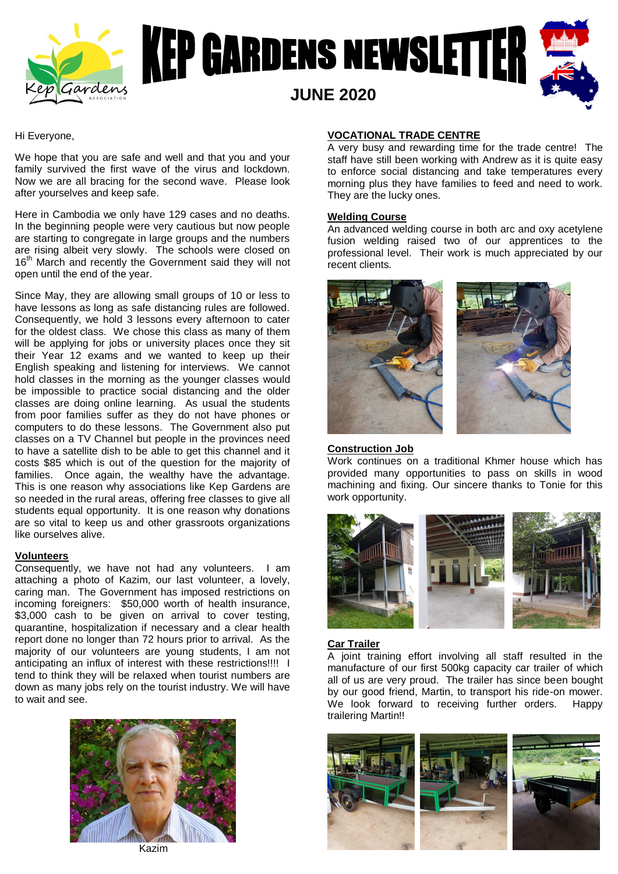



Hi Everyone,

We hope that you are safe and well and that you and your family survived the first wave of the virus and lockdown. Now we are all bracing for the second wave. Please look after yourselves and keep safe.

Here in Cambodia we only have 129 cases and no deaths. In the beginning people were very cautious but now people are starting to congregate in large groups and the numbers are rising albeit very slowly. The schools were closed on 16<sup>th</sup> March and recently the Government said they will not open until the end of the year.

Since May, they are allowing small groups of 10 or less to have lessons as long as safe distancing rules are followed. Consequently, we hold 3 lessons every afternoon to cater for the oldest class. We chose this class as many of them will be applying for jobs or university places once they sit their Year 12 exams and we wanted to keep up their English speaking and listening for interviews. We cannot hold classes in the morning as the younger classes would be impossible to practice social distancing and the older classes are doing online learning. As usual the students from poor families suffer as they do not have phones or computers to do these lessons. The Government also put classes on a TV Channel but people in the provinces need to have a satellite dish to be able to get this channel and it costs \$85 which is out of the question for the majority of families. Once again, the wealthy have the advantage. This is one reason why associations like Kep Gardens are so needed in the rural areas, offering free classes to give all students equal opportunity. It is one reason why donations are so vital to keep us and other grassroots organizations like ourselves alive.

## **Volunteers**

Consequently, we have not had any volunteers. I am attaching a photo of Kazim, our last volunteer, a lovely, caring man. The Government has imposed restrictions on incoming foreigners: \$50,000 worth of health insurance, \$3,000 cash to be given on arrival to cover testing, quarantine, hospitalization if necessary and a clear health report done no longer than 72 hours prior to arrival. As the majority of our volunteers are young students, I am not anticipating an influx of interest with these restrictions!!!! I tend to think they will be relaxed when tourist numbers are down as many jobs rely on the tourist industry. We will have to wait and see.



Kazim

# **VOCATIONAL TRADE CENTRE**

A very busy and rewarding time for the trade centre! The staff have still been working with Andrew as it is quite easy to enforce social distancing and take temperatures every morning plus they have families to feed and need to work. They are the lucky ones.

### **Welding Course**

An advanced welding course in both arc and oxy acetylene fusion welding raised two of our apprentices to the professional level. Their work is much appreciated by our recent clients.



## **Construction Job**

Work continues on a traditional Khmer house which has provided many opportunities to pass on skills in wood machining and fixing. Our sincere thanks to Tonie for this work opportunity.



## **Car Trailer**

A joint training effort involving all staff resulted in the manufacture of our first 500kg capacity car trailer of which all of us are very proud. The trailer has since been bought by our good friend, Martin, to transport his ride-on mower. We look forward to receiving further orders. Happy trailering Martin!!